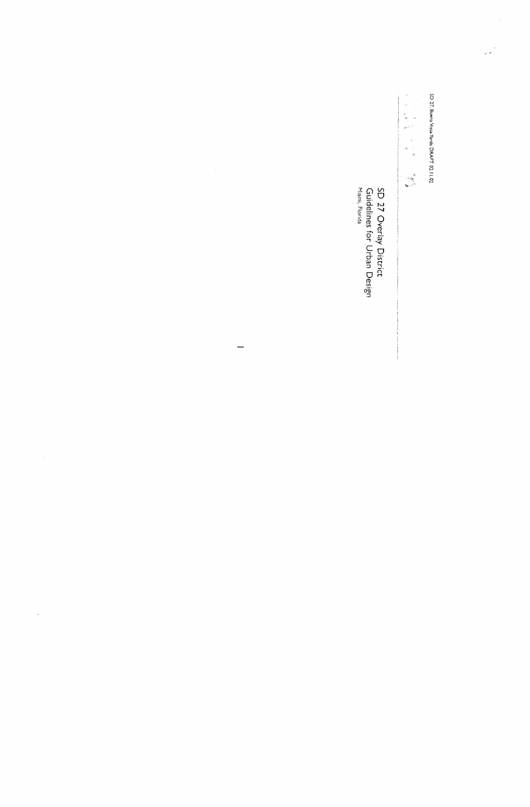SD 27: Buena Vista Yards DRAFT 02.11.02

 $\ddot{\phantom{0}}$ 

1、 医一种的 医生物的 医生物的 医生物的 医生物的 医生物的

SD 27 Overlay District<br>Guidelines for Urban Design<br><sup>Miami, Florida</sup>

 $\mathcal{F}_\mathrm{c}$ 

 $\overline{\phantom{0}}$ 

 $\label{eq:2} \frac{1}{\sqrt{2}}\sum_{i=1}^n\frac{1}{\sqrt{2}}\sum_{i=1}^n\frac{1}{\sqrt{2}}\sum_{i=1}^n\frac{1}{\sqrt{2}}\sum_{i=1}^n\frac{1}{\sqrt{2}}\sum_{i=1}^n\frac{1}{\sqrt{2}}\sum_{i=1}^n\frac{1}{\sqrt{2}}\sum_{i=1}^n\frac{1}{\sqrt{2}}\sum_{i=1}^n\frac{1}{\sqrt{2}}\sum_{i=1}^n\frac{1}{\sqrt{2}}\sum_{i=1}^n\frac{1}{\sqrt{2}}\sum_{i=1}^n\frac{1$ 

 $\frac{1}{2}$ 

 $\hat{\mathcal{A}}$ 

 $\sim 10^{-11}$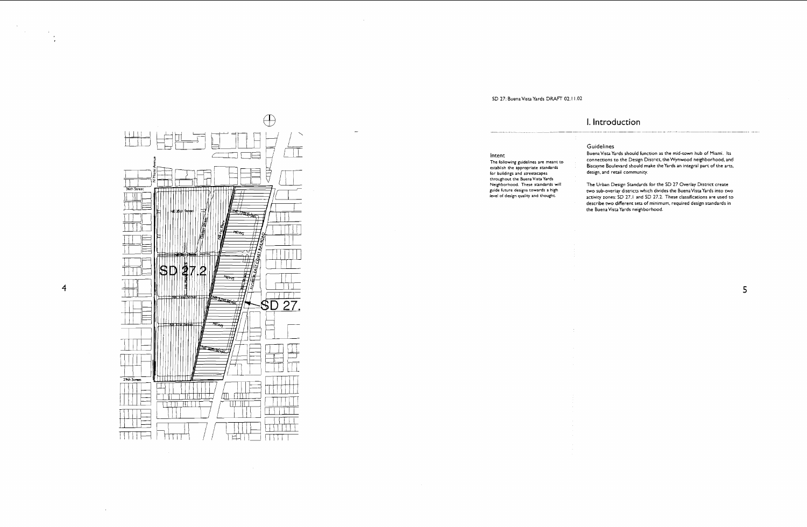### SD **27:** Buena Vlsca Yards **DRAFT 02.** l **1.02**

 $\sim$ 

### I. Introduction

**Intent The following guidelines are meant to establish the appropriate standards**  for buildings and streetscapes throughout the Buena Vista Yards **Neighborhood. These standards will guide future designs towards a high level of design qualiq and thought** 

旦  $\sqrt{1}$ 导 目 36th Street <u>उज्ज्य कुरुष्टर</u> I li ₩€т 47 SD .2 2200 Pres 29th Street E 如血血 TIN FILLE Z - 111  $\overline{\text{H} \text{H}}$ TETTI TIETTI  $\frac{1}{2}$ । म्रा

 $\bigoplus$ 

 $\overline{4}$ 

 $\bar{\alpha}$ 

 $\label{eq:2} \frac{1}{\sqrt{2}}\sum_{i=1}^{n-1}\frac{1}{\sqrt{2}}\sum_{i=1}^{n-1}\frac{1}{\sqrt{2}}\sum_{i=1}^{n-1}\frac{1}{\sqrt{2}}\sum_{i=1}^{n-1}\frac{1}{\sqrt{2}}\sum_{i=1}^{n-1}\frac{1}{\sqrt{2}}\sum_{i=1}^{n-1}\frac{1}{\sqrt{2}}\sum_{i=1}^{n-1}\frac{1}{\sqrt{2}}\sum_{i=1}^{n-1}\frac{1}{\sqrt{2}}\sum_{i=1}^{n-1}\frac{1}{\sqrt{2}}\sum_{i=1}^{n-1}\frac{$ 

 $\begin{array}{c} \begin{array}{c} \begin{array}{c} \begin{array}{c} \begin{array}{c} \end{array} \\ \begin{array}{c} \end{array} \\ \begin{array}{c} \end{array} \\ \begin{array}{c} \end{array} \\ \begin{array}{c} \end{array} \\ \begin{array}{c} \end{array} \\ \begin{array}{c} \end{array} \\ \begin{array}{c} \end{array} \end{array} \end{array}$ 

Buena Vista Yards should function as the mid-town hub of Miami. Its connections to the Design District, the Wynwood neighborhood, and Biscayne Boulevard should make the Yards an integral part of the arts, design, and retail community.

The Urban Design Standards for the SD **27** Overlay District create two sub-overlay districts which divides the Buena Vista Yards into two activity zones: SD **27.1** and SD **27.2.** These classifications are used to describe two different sets of minimum, required design standards in the Buena Vista Yards neighborhood.

5

### **Guidelines**

 $\sim$   $\sim$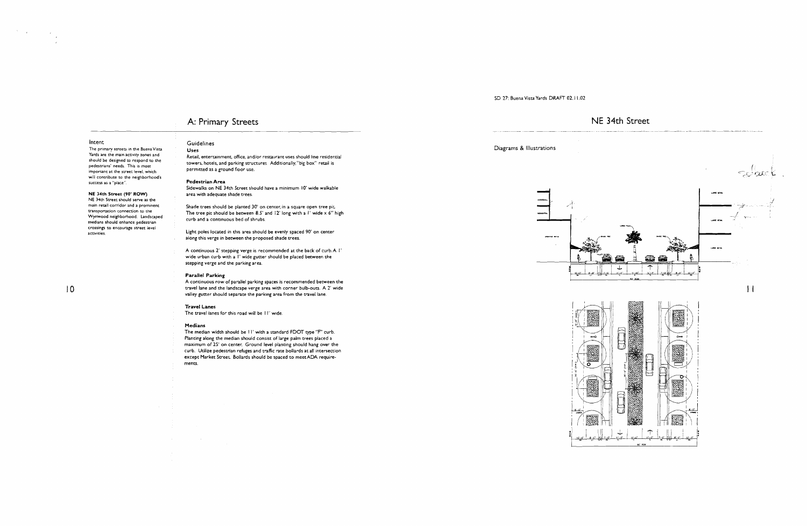SD **17:** Buena Vista Yards DMFT 02.1 1.02

### Intent

 $\mathcal{S}^{\text{max}}_{\text{max}}$ 

The primary streets in the Buena Vista Yards are the main activity zones and should be designed to respond to the pedestrians' needs. This is most important at the street level, which will contribute to the neighborhood's success **as** a "place".

### **NE 34th Street** (90' **ROW)**

NE 34th Street should serve as the main retail corridor and a prominent transportation connection to the Wynwood neighborhood. Landscaped medians should enhance pedestrian crossings to encourage sweet level activities.

### $10$

Retail, entertainment, office, and/or restaurant uses should line residential towers, hotels, and parking structures Additionally, "big box" retail is permitted as a ground floor use.

### A: Primary Streets

### Guidelines

### Uses

Light poles located in this area should be evenly spaced 90' on center along this verge in between the proposed shade trees.

### Pedestrian Area

Sidewalks on NE 34th Street should have a minimum 10' wide walkable area with adequate shade trees.

The median width should be I I' with a standard FDOT cype "F" curb. Planting along the median should consist of large palm trees placed a maximum of 25' on center. Ground level planting should hang over the curb. Utilize pedestrian refuges and trafic rate bollards at all intersection except Market Street. Bollards should be spaced to meet ADA requirements.

Shade trees should be planted **30'** on center, in a square open tree pir The tree pit should be between 8.5' and 12' long with a *l'* wide x 6" high curb and a continuous bed of shrubs.

A continuous 2' stepping verge is recommended at the back of curb.A I' wide urban curb with a I' wide gutter should be placed between the stepping verge and the parking area.

### Parallel Parking

A continuous row of parallel parking spaces is recommended between the travel lane and the landscape verge area with corner bulb-outs. A 2' wide valley gutter should separate the parking area from the travel lane.

### Travel Lanes

The travel lanes for this road will be II' wide.

### Medians







### NE 34th Street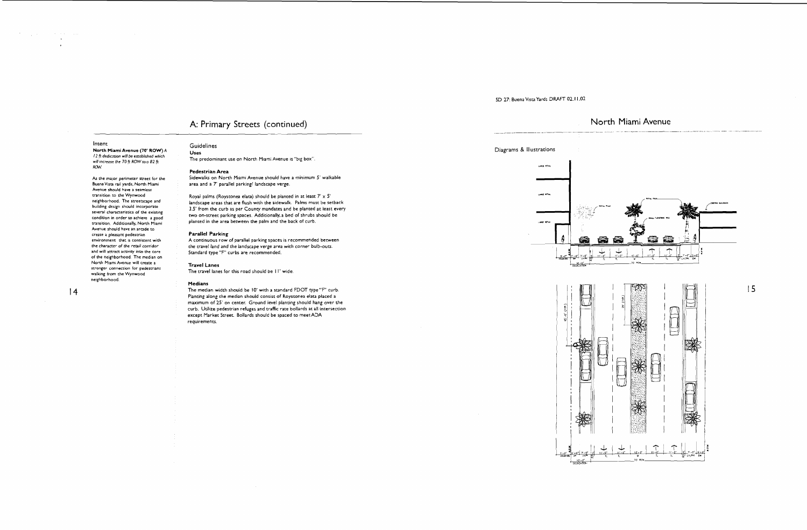### Intent

 $\label{eq:2.1} \frac{1}{\sqrt{2}}\sum_{i=1}^N\frac{1}{\sqrt{2}}\left(\frac{1}{\sqrt{2}}\sum_{i=1}^N\frac{1}{\sqrt{2}}\right)^2\left(\frac{1}{\sqrt{2}}\sum_{i=1}^N\frac{1}{\sqrt{2}}\right)^2.$ 

 $\alpha$  and  $\alpha$  and  $\alpha$  $\mathcal{A}^{\mathcal{A}}$ 

> **North** Miami Avenue (70' ROW) A 12 ft dedication will be established which will increase the 70 ft ROW to a 82 ft *RGW*

As the major perimeter street for the BuenaVise rail yards. North Miami Avenue should have a seamless transition to the Wynwood neighborhood. The streetscape and building design should incorporate several characteristics of the existing condition in order to achieve a good transition. Additionally, North Miami Avenue should have an arcade to create a pleasant pedestrian environment that is consistent with the character **of** the retail corridor and will attract activity into the core of the neighborhood. The median on North Miami Avenue will create a stronger connection for pedestrians walking from the Wynwood neighborhood.

 $|4$ 

Royal palms (Roystonea elata) should be planted in at least  $7' \times 5'$ landscape areas that are flush with the sidewalk. Palms must be setback 3.5' from the curb as per County mandates and be planted at least every two on-street parking spaces. Additionally, a bed of shrubs should be planted in the area between the palm and the back of curb.

### SD 27: Buena Vista Yards DRAFT 02.11.02

### A: Primary Streets (continued)

### Guidelines **Uses**

The predominant use on North Miami Avenue is "big box".

### **Pedestrian Area**

Sidewalks on North Miami Avenue should have a minimum 5' walkable area and a 7' parallel parking/ landscape verge.

### **Parallel Parking**

A continuous row of parallel parking spaces is recommended between the travel land and the landscape verge area with corner bulb-ours. Standard type **"F"** curbs are recommended.

### **Travel Lanes**

The travel lanes for this road should be II' wide.

### **Medians**

The median width should be 10' wlth a standard FDOT type **"F"** curb. Planting along the median should consist of Roystonea elata placed a maximum of 25' on center. Ground level planting should hang over the curb. Urilize pedestrian refuges and trafic rare bollards at all intersection except Market Street. Bollards should be spaced to meetADA requirements.



 $15$ 

### Diagrams & Illustrations

**LARGE RETAL LARCE RETAIL** 

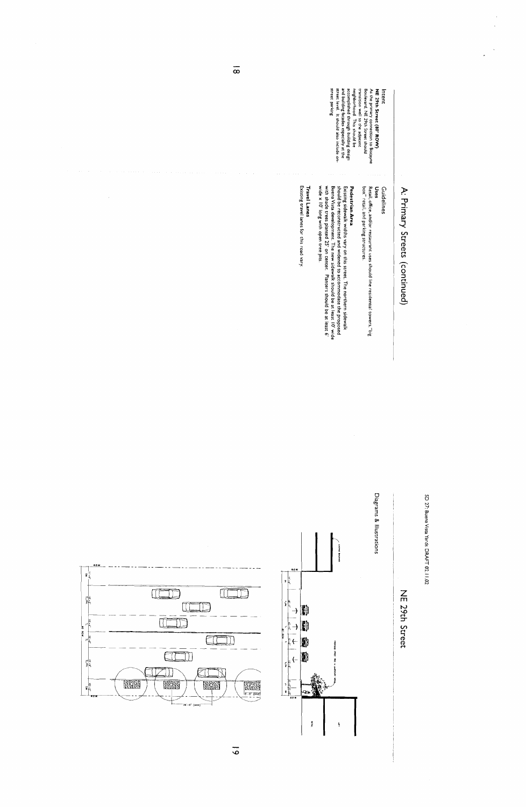| ĭ<br>ì         |
|----------------|
| í              |
| TV: Duena      |
| č              |
| <b>Tards</b>   |
| י<br>האטו<br>٦ |
| ř              |
| .<br>م         |

# A: Primary Streets (continued)

|                         |  |                                                                  | street parking.<br>accomplished through building design<br>and building facades especially at the<br>street level. It should also include on-<br>neighborhood. This should be                                                                                                                                                                        | transition well to the adjacent<br>As the primary connection to Biscayne<br>Boulevard, NE 29th Street should<br>NE 29th Street (80' ROW)<br>Intent |
|-------------------------|--|------------------------------------------------------------------|------------------------------------------------------------------------------------------------------------------------------------------------------------------------------------------------------------------------------------------------------------------------------------------------------------------------------------------------------|----------------------------------------------------------------------------------------------------------------------------------------------------|
|                         |  | Existing travel lanes for this road vary.<br><b>Travel Lanes</b> | wide x 10' long with open tree pits.<br>should be reconstructed and widened to accommodate the proposed<br>with shade trees planted 25' on center. Planters should be at least 6'<br>Buena Vista development. The new sidewalk should be at least 10' wide<br>Existing sidewalk widths vary on this street. The northern sidewalk<br>Pedestrian Area | box" retail, and parking structures.<br>Retail, office, and/or restaurant uses should line residential towers, "big<br>Uses<br>Guidelines          |
| 1.0.W<br>$2\frac{1}{5}$ |  | 10.0<br>$\frac{1}{2}$                                            | <b>Disc Butawa</b>                                                                                                                                                                                                                                                                                                                                   | Diagrams & Illustrations                                                                                                                           |

 $\overline{\circ}$ 







 $\overline{6}$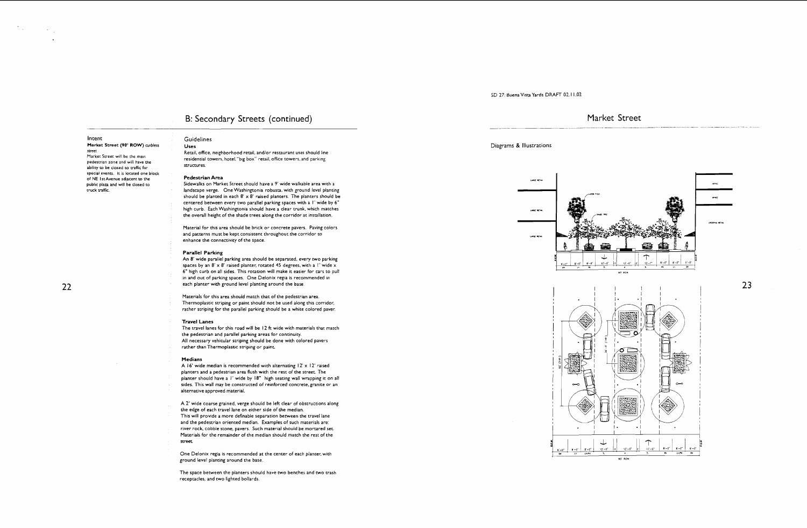### SD 27: Buena Vista Yards DRAFT 02.1 1.02

### Intent

Market Street (90' ROW) **curbless met**  Market Street will be the main pedestrian zone and will have the ability to be closed to traffic for special events. It is located one block of NE l sr Avenue adjacent to the public plaza and will be closed to truck trafic.

### 22

Retail, office, neighborhood retail, and/or restaurant uses should line residential towers, hotel, "big box" retail, office towers, and parking structures.

### B: Secondary Streets (continued)

Guidelines

### **Uses**

### **Pedestrian Area**

An 8' wide parallel parking area should be separated, every two parking spaces by an  $8' \times 8'$  raised planter, rotated 45 degrees, with a *l'* wide x 6" high curb on all sides. This rotation will make it easier for cars to pull in and out of parking spaces. One Delonix regia is recommended in each planter wich ground level planting around the base.

Sidewalks on Market Street should have a 9' wide walkable area with a landscape verge. One Washingconia robusta, with ground level planting should be planted in each  $8' \times 8'$  raised planters. The planters should be centered between every two parallel parking spaces with a I' wide by 6" high curb. Each Washingtonia should have a clear trunk, which matches the overall height of the shade trees along the corridor at installation.

The travel lanes for this road will be I2 ft wide with materials that match the pedestrian and parallel parking areas for continuity. All necessary vehicular striping should be done with colored pavers rather than Thermoplastic striping or paint.

Material for this area should be brick or concrete pavers. Paving colors and patterns must be kept consistent throughout the corridor to enhance the connectivity of the space.

A 16' wide median is recommended with alternating 12' x 12' raised planters and a pedestrian area flush with the rest of the street. The planter should have a I' wide by 18" high seating wall wrapping it on all sides. This wall may be constructed of reinforced concrete, granite or an alternative approved material.

### **Parallel Parking**

The space between the planters should have two benches and two trash receptacles, and two lighted bollards.

Materials for this area should match that of the pedestrian area. Thermoplastic striping or paint should not be used along this corridor, rather striplng for the parallel parking should be a white colored paver,

### **Travel Lanes**

### **Medians**

A 2' wide coarse grained, verge should be left clear of obstructions along the edge of each travel lane on either side of the median. This will provide a more definable separation between the travel lane and the pedestrian oriented median. Examples of such materials are: river rock cobble stone, pavers. Such material should be mortared set. Materials for the remainder of the median should match the rest of the **StPeet** 

One Delonix regia is recommended at the center of each planter, with ground level planting around the base.

### Market Street \_ -.-\_p~--.---\_....\_.-p... - -- . .

23

### Diagrams & Illustrations



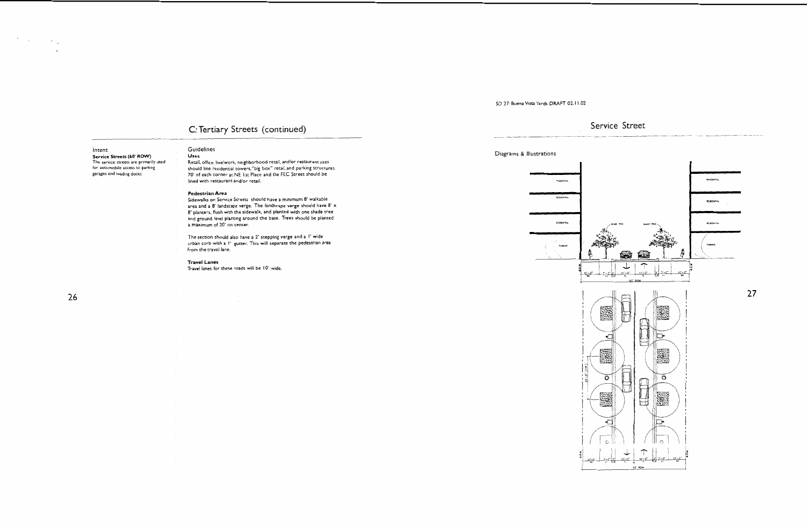**SD 27: Buena Vista Yards DRAFT 02.11.02** 

### C: Tertiary Streets (continued)

 $\label{eq:2} \mathcal{L} = \frac{1}{2} \sum_{i=1}^n \frac{1}{2} \sum_{j=1}^n \frac{1}{2} \sum_{j=1}^n \frac{1}{2} \sum_{j=1}^n \frac{1}{2} \sum_{j=1}^n \frac{1}{2} \sum_{j=1}^n \frac{1}{2} \sum_{j=1}^n \frac{1}{2} \sum_{j=1}^n \frac{1}{2} \sum_{j=1}^n \frac{1}{2} \sum_{j=1}^n \frac{1}{2} \sum_{j=1}^n \frac{1}{2} \sum_{j=1}^n \frac{1}{2} \sum_{j=1}$ 

 $\ddot{\phantom{1}}$ 

Service Streets (60' ROW) Uses

### Intent Guidelines

The service streets are primarily used Retail, office, live/work, neighborhood retail, and/or restaurant uses for automobile access to parking should line residential towers, "big box" retail, and parking structures.<br>garages and loading docks. The structure of the corner at NE 1 st Place and the FEC Street should be 70' of each corner at NE I st Place and the FEC Street should be lined with restaurant and/or retail.

### **Pedestrian Area**

Sidewalks on Service Streets should have a minimum 8' walkable area and a 8' landscape verge. The landscape verge should have 8' x 8' planters, flush with the sidewalk, and planted with one shade tree and ground level planting around the base. Trees should be planted a maximum of 20' on center.

The section should also have a 2' stepping verge and a I' wide urban curb with a I' gutter. This will separate the pedestrian area from the travel lane

### **Travel Lanes**

Travel lanes for these roads will be 10' wide

### Diagrams & illustrations





### $\begin{array}{c} \textbf{Service Street} \end{array}$

27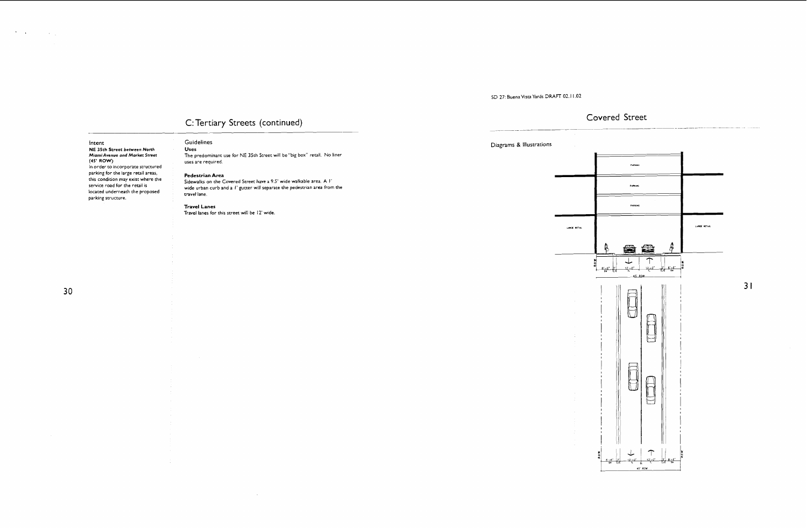**Intent** 

 $\mathcal{O}(\mathcal{O}(\log n))$  ,  $\mathcal{O}(\log n)$ 

(45' ROW)

 $\sim 10$ 

### **Guidelines Diagrams** & **Illustrations NE 35th Street between Nonh Uses Miami Avenue ond Market Srreet**  The predominant use for NE 35th Street will be "big box" retail. No liner uses are required In order to incorporate structured parking for the large retail areas, Pedestrian Area this condition may exist where the Sidewalks on the Covered Street have a 9.5' wide walkable area. A I' service road for the retail is wide urban curb and a I' gutter will separate the pedestrian area from the located underneath the proposed travel lane. parking structure. Travel Lanes Travel lanes for this street will be 12' wide. **LARGE RETAIL**

### SD 27: Buena Vista Yards DRAFT 02.11.02

### C: Tertiary Streets (continued)

 $\sim 10^{-1}$ 

### Covered Street

\_ \_ \_ ~ -\_

 $31$ 

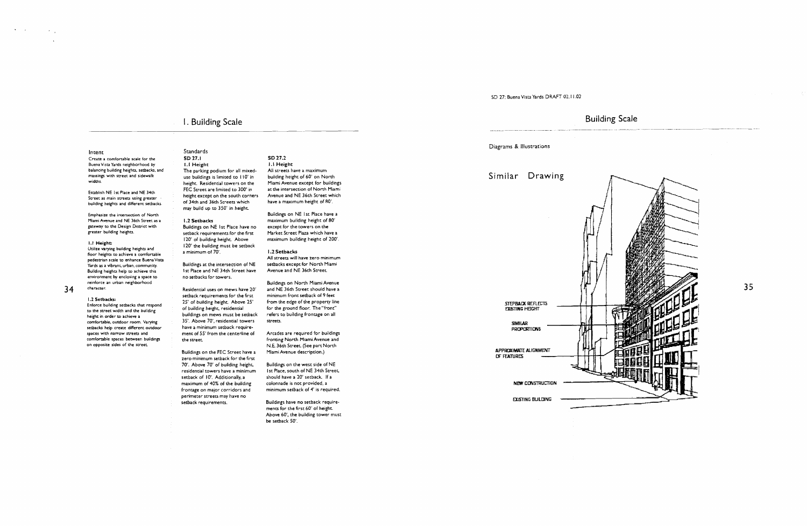### Intent

Create a comfortable scale for the Buena Vista Yards neighborhood by balancing building heights, setbacks, and massings with street and sidewalk widths.

Emphasize the intersection of North Miami Avenue and NE 36th Street as a gateway to the Design District with greater building heights.

Utilize vatying building heights and floor heights to achieve a comfortable pedestrian scale to enhance Buena Vista Yards as a vibrant, urban, community. Building heights help to achieve this environment by enclosing a space to reinforce an urban neighborhood<br>34 character.

Establish NE 1st Place and NE 34th Street as main streets using greater building heights and different setback.

### 1.1 Height:

Residential uses on mews have 20' setback requirements for the first 25' of building heighr Above 25' of building height, residential buildings on mews must be setback 35'. Above 70', residential towers have a minimum setback requirement of 55' from the centerline of the street.

1.2 **Setbacks**  Enforce building setbacks that respond to the street width and the building height ih order to achieve a comfortable, outdoor room. Varying setbacks help create different outdoor spaces with narrow streets and comlortable spaces between buildings on opposite sides of the street

### I. Building Scale

Standards

**SD** 27.1 I. I Height The parking podium for all mixeduse buildings is limited to 110' in height Residential towers on the FEC Street are limited to 300' in height except on the south corners of 34th and 36th Streets which may build up to 350' in heighr

### 1.2 **Setbacks**

Buildings on NE 1st Place have no setback requirements for the first 120' of building height. Above 120' the building must be setback a minimum of 70'. Buildings at the intersection of NE

I st Place and NE 34th Street have no setbacks for towers.

Buildings on the FEC Street have a zero minimum setback for the first 70'. Above 70' of building height, residential towers have a minimum setback of 10'. Additionally, a maximum of 40% of the building frontage on major corridors and perimeter streets may have no setback requirements.

**SD** 27.2

I. I Height All streets have a maximum building height of 60' on North Miami Avenue except for buildings at the intersection of North Miami Avenue and NE 36th Street which have a maximum height of 80'.

Buildings on NE I st Place have a maximum building height of 80' except for the towers on the Market Street Plaza which have a maximum building height of 200'.

1.2 **Setbacks**  All streets will have zero minimum setbacks except for North Miami Avenue and NE 36th Street

Buildings on North Miami Avenue and NE 36th Street should have a minimum front setback of 9 feet from the edge of the property line for the ground floor. The "front" refers to building frontage on all streets.

Arcades are required for buildings fronting North Miami Avenue and N.E. 36th Street (See part North Miami Avenue description.)

Buildings on the west side of NE 1st Place, south of NE 34th Street, should have a 20' setback If a colonnade is not provided, a minimum setback of 4' is required.

Buildings have no setback requirements for the first 60' of height. Above 60', the building tower must be setback 50'.

STEPBACK REFLECTS **EXISTING HEIGHT SMILAR PROPORTIONS** 

APPROXIMATE ALIGNMENT **DF FEATURES** 

NEW CONSTRUCTION

**EXISTING BULDING** 

### Building Scale -- ~~ \_ \_ \_-\_- .\_ ~ \_ \_ \_.



35

### SD 27: Buena Vista Yards DRAFT 02.11.02

Diagrams & Illustrations

Similar Drawing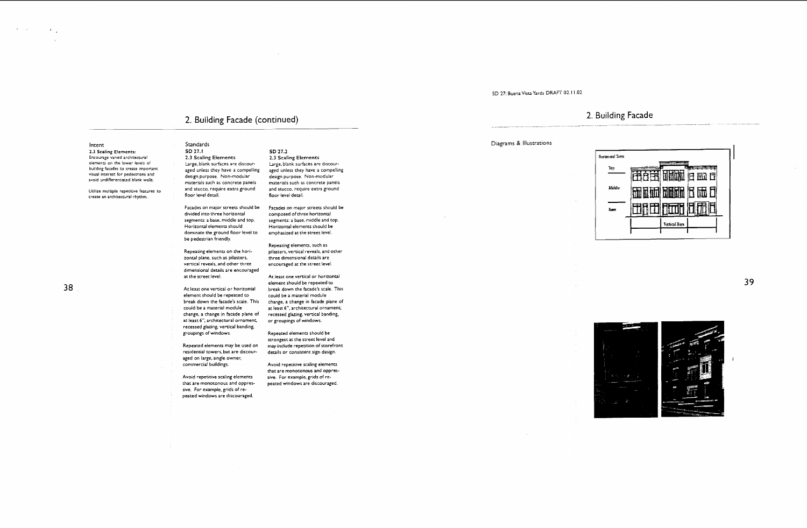### SD 27: Buena Vista Yards DRAFT 02. l 1.02

Intent Standards 2.3 Scaling Elements: SD 27.1 SD 27.1 SD 27.2<br>
Encourage varied architectural 2.3 Scaling Elements 2.3 Scaling Elements elements on the lower levels of Large, blank surfaces are discour-<br>building facades to create important aged unless they have a compelling

Utilize multiple repetitive features to and stucco, require extra ground and stucco, require extra ground and stucco, require extra ground and stucco, require extra ground and stucco, require extra ground and stucco, requi create an architectural rhythm.

### 2. Building Facade (continued)

- Encourage varied architectural 2.3 Scaling Elements 2.3 Scaling Elements<br>
elements on the lower levels of the large, blank surfaces are discour- Large, blank surfaces are discourbuilding facades to create important aged unless they have a compelling aged unless they have a compelling<br>visual interest for pedestrians and design purpose. Non-modular design purpose. Non-modular<br>avoid undifferentiated
	- Horizontal elements should be<br>emphasized at the street level.
	- Repeating elements, such as Repeating elements on the hori- pilasters, vertical reveals, and other zontal plane, such as pilasters, where dimensional details are encouraged at the street level
		- At least one vertical or horizontal element should be repeated to break down the facade's scale. This could be a material module change, a change in facade plane of at least 6", architectural ornament, recessed glazing, vertical banding, or groupings of windows.
		- Repeated elements should be strongest at the street level and may include repetition of storefront<br>details or consistent sign design.
		- that are monotonous and oppres-

### 2. Building Facade



39



- 
- Facades on major streets should be Facades on major streets should be<br>divided into three horizontal composed of three horizontal divided into three horizontal composed of three horizontal<br>segments: a base, middle and top. segments: a base, middle and to segments: a base, middle and top. segments: a base, middle and top.<br>Horizontal elements should state in thorizontal elements should be dominate the ground floor level to be pedestrian friendly.
- zontal plane, such as pilasters, vertical reveals, and other three dimensional details are encouraged at the street level.
- At least one vertical or horizontal element should be repeated to break down the facade's scale. This could be a material module change, a change in facade plane of at least **6"**, architectural ornament, recessed glazing, vertical banding, groupings of windows.
- Repeated elements may be used on residential towers, but are discouraged on large, single owner, commercial buildings. Avoid repetitive scaling elements
- Avoid repetitive scaling elements sive. For example, grids of rethat are monotonous and oppres- peated windows are discouraged. sive. For example, grids of repeated windows are discouraged.

### Diagrams & Illustrations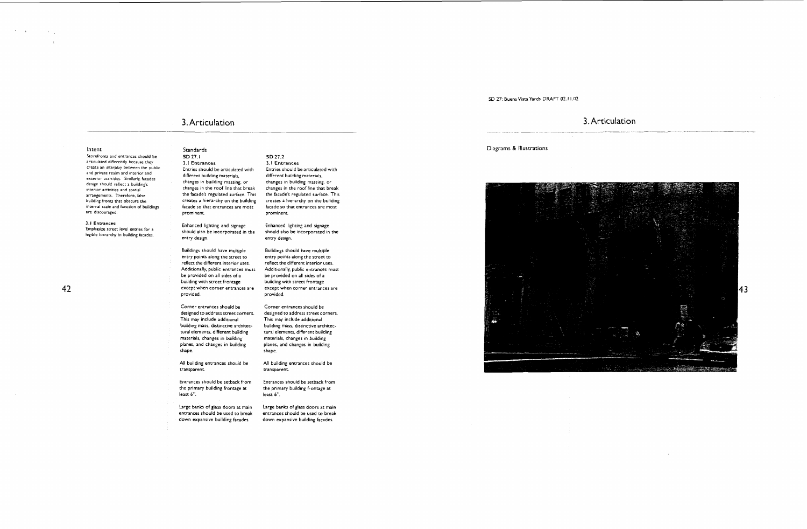### SD 27: Buena Vista Yards **DRAFT** 02.1 1.02

create an interplay between the public Entries should be articulated with<br>and private realm and interlor and Interlocation and private realm and interlocation and interlocation and interlocation and interlocation and inter exterior activities. Similarly, facades different building materials,<br>design should exflore building: different building massing, or esign should reflect a buildings<br>
Interform activities and spatial changes in the roof line that break<br>
armorements Therefore false the facade's regulated surface. This building fronts that obscure the creates a hierarchy on the building<br>internal scale and function of buildings facade so that entrances are most facade so that entrances are most 3.1 Entrances:<br>
Enhanced lighting and signage<br>
https://www.indialsobe.incorporated.in.the entry design. Buildings should have multiple entry polnts along the street to reflect the different interior uses Additionally, public entrances must be provided on all sides of a building with street frontage except when corner entrances are provided. Corner entrances should be designed to address street corners. This may include additional building mass, distinctive architectural elements, different building materials, changes in building planes, and changes in building shape All building entrances should be transparent Entrances should be setback from the primary building frontage at least 6". Entries should be articulated with different building materials, changes in building massing, or changes in the roof line that break the facade's regulated surface. This creates a hierarchy on the building facade so that entrances are most prominent Enhanced lighting and signage should also be incorporated in the entry design. Buildings should have multiple entry points along the street to reflect the different interior uses. Additionally, public entrances musr be provided on all sides of a building with street frontage except when corner entrances are provided. Corner entrances should be designed to address street corners. This may include additional building mass, distinctive architectural elements, different building materials, changes in building planes, and changes in building shape. All building entrances should be vansparent Entrances should be setback from the primary building frontage at least *6".* 

> Large banks of glass doors at main entrances should be used to break down expansive building facades.

**SD** 27.2 3.1 Entrances

Large banks of glass doors at main entrances should be used to break down expansive building facades.

### 3. Articulation

### Diagrams & Illustrations



## $\frac{3. \text{Articulation}}{1}$

### Intent Standards

Storefronts and entrances should be **SD 27.1**<br>articulated differently because they **SLA Entrances** articulated differently because they<br>create an interplay between the public design should reflect a building's arrangements. Therefore, false<br>building fronts that obscure the are discouraged. The contact of semants of semants of prominent.

legible hierarchy in building facades.

42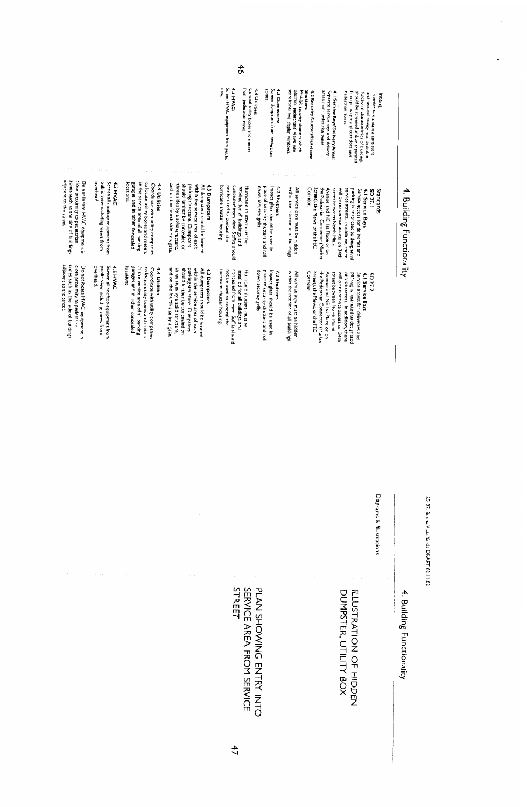## 4. Building Functionality

### Screen HVAC equipment from public **VIEW 4.5 HYAC:** from pedestrian zones. Conceal utility boxes and meters 4.4 Utilities: Screen dumpsters from pedestrian 4.3 Dumpsters: zones. obstruct pedestrians' views into<br>storefronts and display windows. Prohibit security shutters which **Shutters:** 4.2 Security Shutters/Hurricane areas from pedestrian zones. Separate service bays and delivery 4.1 Service Bays/Delivery Areas: pedestrian zones. from primary visual corridors and architectural quality less desirable<br>functional characteristics of buildings<br>should be screened and/or separated In order to maintain a consistent Intent Do not locate HVAC equipment in Screen all rooftop equipment from<br>public view including views from overhead. 4.5 HVAC **locations** garages and in other concealed in the service area of all parking to locate utility boxes and meters Coordinate with utility companies 4.4 Utilities and on the fourth side by a gate. three sides by a solid structure, should further be concealed on within the service area of each<br>parking structure. Dumpsters All dumpsters should be located hurricane shutter housing. not be used to conceal the 4.3 Dumpsters concealed from view. Soffits should installed for all buildings and Hurricane shutters must be Standards<br>SD 27.1<br>4.1 Service Bays down security grills. All service bays must be hidden<br>within the interior of all buildings. piace of security shutters and roll impact glass should be used in 4.2 Shutters the Pedestrian Connector (Market Corridor. Street), the Mews, or the FEC Avenue and NE Ist Place or on street between North Miami will be no service access on 34th parking is restricted to designated<br>service streets. In addition, there Service access for deliveries and Do not locate HVAC equipment in Screen all rooftop equipment from<br>public view including views from overhead. 4.5 HYAC in the service area of all parking locations. garages and in other concealed to locate utility boxes and meters Coordinate with utility companies parking structure. Dumpsters<br>should further be concealed on and on the fourth side by a gate. 4.4 Utilities three sides by a solid structure, within the service area of each 4.3 Dumpsters All dumpsters should be located hurricane shutter housing. not be used to conceal the concealed from view. Soffits should installed for all buildings and place of security shutters and roll Hurricane shutters must be down security grills. impact glass should be used in 4.2 Shutters within the interior of all buildings All service bays must be hidden the Pedestrian Connector (Markes Street), the Mews, or the FEC Avenue and NE Ist Place or on street between North Miami SD 27.2<br>4.1 Service Bays<br>Service access for deliveries and Corridor will be no service access on 34th service streets. In addition, there parking is restricted to designated

close proximity to pedestrian<br>zones such as the side of buildings

adjacent to the street.

zones such as the side of buildings<br>adjacent to the street close proximity to pedestrian  $46$ 

SD 27: Buena Vista Yards DRAFT 02.11.02

Diagrams & Illustrations

**L. Building Functionality** 

### DUMPSTER, UTILITY BOX ILCOURNION OF HIDDEN

# PLAN SHOWING ENTRY INTO<br>SERVICE AREA FROM SERVICE<br>STREET

 $47$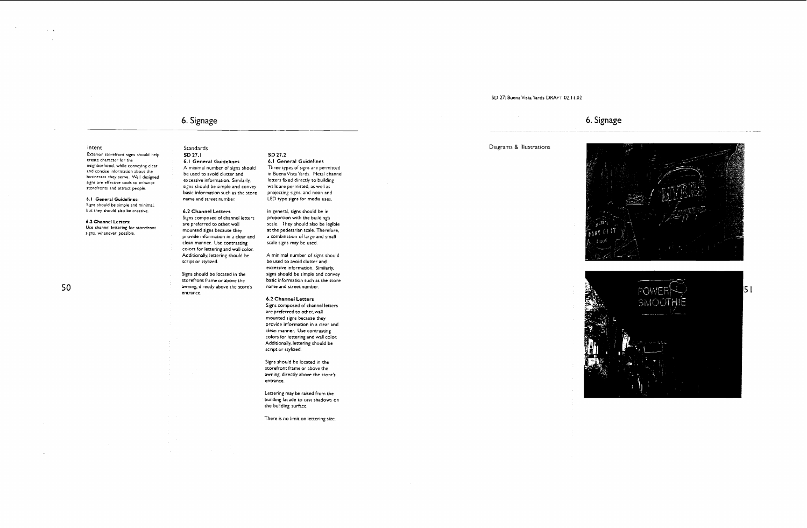### ena Vis<mark>ta</mark> '

### Diagrams & Illustr

6. Signage

Intent Standards

businesses they serve. Well designed<br>
excessive information. Similarly, butters fixed directly to building excessive information. Similarly, letters fixed directly to building signs are effective tools to enhance excessive information. Similarly, letters fixed directly to building<br>storefronts and attract people signs should be simple and convey walls are permitted, as well as storefronts and attract people signs should be simple and convey walls are permitted, as well as . . basic information such as the store projecting signs, and neon and

6.1 General Guidelines: name and street number. Signs should be simple and minimal, but they should also be creative. 6.2 Channel Letters

6.2 Channel Letters:<br>
Use channel lettering for storefront<br>  $\frac{ar}{1}$  are preferred to other, wall

### 50

storefront frame or above the awning, directly above the store's

In general, signs should be in proportion with the building's scale. They should also be legible at the pedestrian scale. Therefore, a combination of large and small scale signs may be used.

### Signs composed of channel letters

Use channel lettering for storement<br>signs, whenever possible. provide information in a clear and clean manner. Use contrasting colors for lettering and wall color. Additionally, lettering should be script or stylized.

> Signs should be located in the entrance.

LED type signs for media uses.

Signs composed of channel letters are preferred to other, wall mounted signs because they provide information in a clear and clean manner. Use contrasting colors for lettering and wall color. Additionally, lettering should be script or stylized.

A minimal number of signs should be used to avoid clutter and excessive informatioh. Similarly, signs should be simple and convey basic information such as the store name and street number.

### 6.2 Channel Letters

Signs should be located in the storefront frame or above the awning, directly above the store's entrance.

Lettering may be raised from the building facade to cast shadows on the building surface.

--. --

Exterior storefront signs should help **SD 27.1 SD 27.2**<br>**Create character for the SD 17.1 SD 27.1 SD 27.2 SD 27.2 SL Come 6.1 General Guidelines 6.1 General** create character for the  $\begin{array}{ccc} 6.1 \text{ General Guidelines} & 6.1 \text{ General and Guidelines} \\ \text{neighborhood, while converges of signs are per$ neighborhood, while conveying clear A minimal number of signs should Three types of signs are permitted and concise and concise and concise  $\frac{1}{\sqrt{2}}$  and concise information about the  $\frac{1}{\sqrt{2}}$  be used to avoid clutt

### 6. Signage



There is no limit on lettering size.